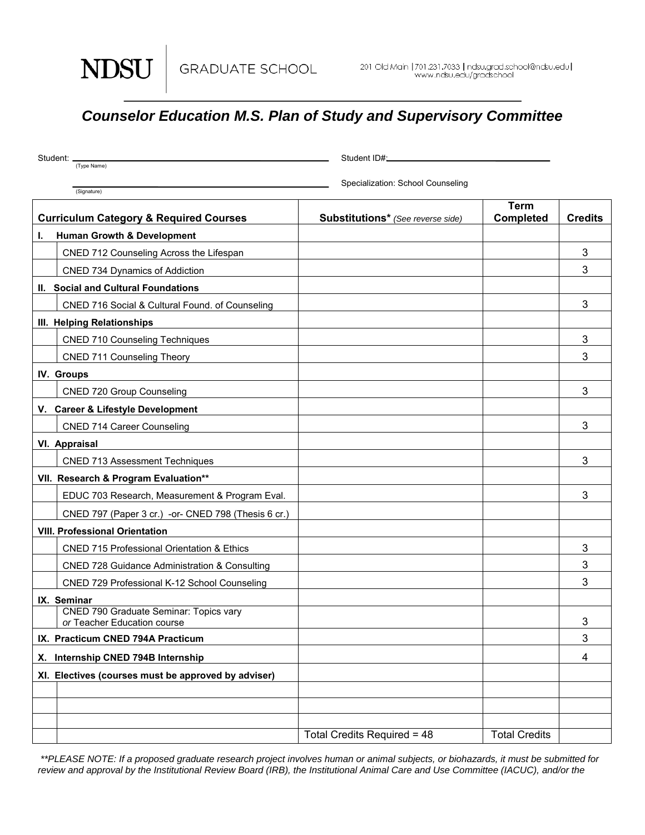NDSU

## *Counselor Education M.S. Plan of Study and Supervisory Committee*

| Student: _                                                                   | Student ID#_                      |                                 |                |  |
|------------------------------------------------------------------------------|-----------------------------------|---------------------------------|----------------|--|
| (Type Name)                                                                  |                                   |                                 |                |  |
| (Signature)                                                                  | Specialization: School Counseling |                                 |                |  |
| <b>Curriculum Category &amp; Required Courses</b>                            | Substitutions* (See reverse side) | <b>Term</b><br><b>Completed</b> | <b>Credits</b> |  |
| <b>Human Growth &amp; Development</b><br>L.                                  |                                   |                                 |                |  |
| CNED 712 Counseling Across the Lifespan                                      |                                   |                                 | 3              |  |
| CNED 734 Dynamics of Addiction                                               |                                   |                                 | 3              |  |
| II. Social and Cultural Foundations                                          |                                   |                                 |                |  |
| CNED 716 Social & Cultural Found. of Counseling                              |                                   |                                 | 3              |  |
| III. Helping Relationships                                                   |                                   |                                 |                |  |
| <b>CNED 710 Counseling Techniques</b>                                        |                                   |                                 | 3              |  |
| <b>CNED 711 Counseling Theory</b>                                            |                                   |                                 | 3              |  |
| IV. Groups                                                                   |                                   |                                 |                |  |
| <b>CNED 720 Group Counseling</b>                                             |                                   |                                 | 3              |  |
| V. Career & Lifestyle Development                                            |                                   |                                 |                |  |
| <b>CNED 714 Career Counseling</b>                                            |                                   |                                 | 3              |  |
| VI. Appraisal                                                                |                                   |                                 |                |  |
| <b>CNED 713 Assessment Techniques</b>                                        |                                   |                                 | 3              |  |
| VII. Research & Program Evaluation**                                         |                                   |                                 |                |  |
| EDUC 703 Research, Measurement & Program Eval.                               |                                   |                                 | 3              |  |
| CNED 797 (Paper 3 cr.) -or- CNED 798 (Thesis 6 cr.)                          |                                   |                                 |                |  |
| <b>VIII. Professional Orientation</b>                                        |                                   |                                 |                |  |
| <b>CNED 715 Professional Orientation &amp; Ethics</b>                        |                                   |                                 | 3              |  |
| <b>CNED 728 Guidance Administration &amp; Consulting</b>                     |                                   |                                 | 3              |  |
| CNED 729 Professional K-12 School Counseling                                 |                                   |                                 | 3              |  |
| IX. Seminar                                                                  |                                   |                                 |                |  |
| <b>CNED 790 Graduate Seminar: Topics vary</b><br>or Teacher Education course |                                   |                                 | 3              |  |
| IX. Practicum CNED 794A Practicum                                            |                                   |                                 | 3              |  |
| X. Internship CNED 794B Internship                                           |                                   |                                 | 4              |  |
| XI. Electives (courses must be approved by adviser)                          |                                   |                                 |                |  |
|                                                                              |                                   |                                 |                |  |
|                                                                              |                                   |                                 |                |  |
|                                                                              |                                   |                                 |                |  |
|                                                                              | Total Credits Required = 48       | <b>Total Credits</b>            |                |  |

 *\*\*PLEASE NOTE: If a proposed graduate research project involves human or animal subjects, or biohazards, it must be submitted for*  review and approval by the Institutional Review Board (IRB), the Institutional Animal Care and Use Committee (IACUC), and/or the